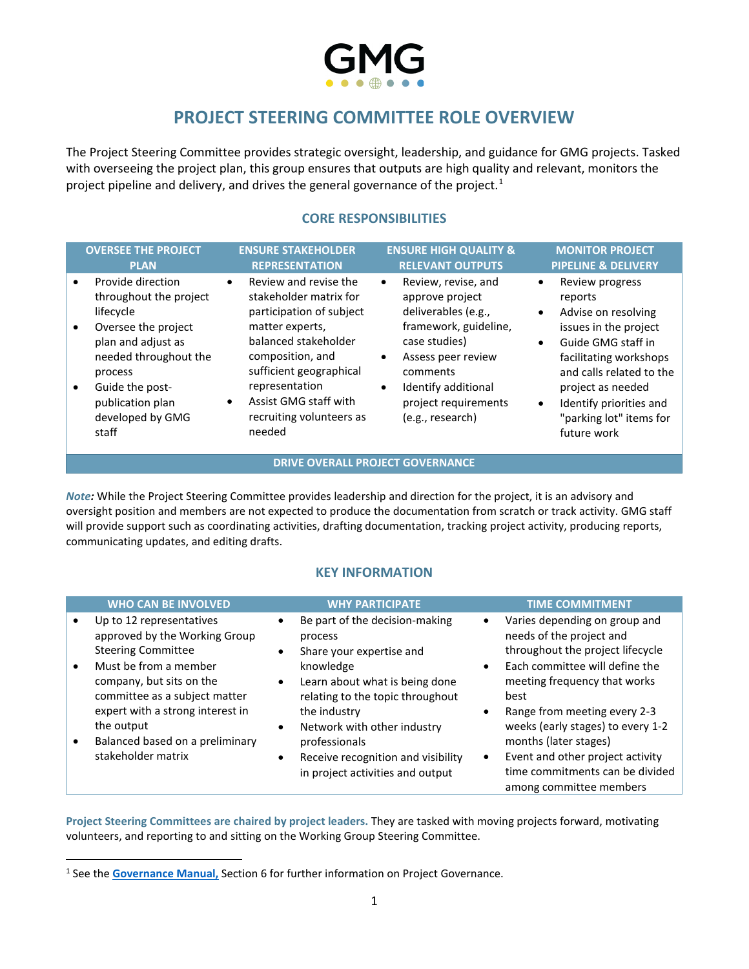

# **PROJECT STEERING COMMITTEE ROLE OVERVIEW**

The Project Steering Committee provides strategic oversight, leadership, and guidance for GMG projects. Tasked with overseeing the project plan, this group ensures that outputs are high quality and relevant, monitors the project pipeline and delivery, and drives the general governance of the project.<sup>[1](#page-0-0)</sup>

# **CORE RESPONSIBILITIES**

| <b>OVERSEE THE PROJECT</b><br><b>PLAN</b>                                                                                                                                                                                               | <b>ENSURE STAKEHOLDER</b><br><b>REPRESENTATION</b>                                                                                                                                                                                                                               | <b>ENSURE HIGH QUALITY &amp;</b><br><b>RELEVANT OUTPUTS</b>                                                                                                                                                                                         | <b>MONITOR PROJECT</b><br><b>PIPELINE &amp; DELIVERY</b>                                                                                                                                                                                                                                             |
|-----------------------------------------------------------------------------------------------------------------------------------------------------------------------------------------------------------------------------------------|----------------------------------------------------------------------------------------------------------------------------------------------------------------------------------------------------------------------------------------------------------------------------------|-----------------------------------------------------------------------------------------------------------------------------------------------------------------------------------------------------------------------------------------------------|------------------------------------------------------------------------------------------------------------------------------------------------------------------------------------------------------------------------------------------------------------------------------------------------------|
| Provide direction<br>$\bullet$<br>throughout the project<br>lifecycle<br>Oversee the project<br>$\bullet$<br>plan and adjust as<br>needed throughout the<br>process<br>Guide the post-<br>publication plan<br>developed by GMG<br>staff | Review and revise the<br>$\bullet$<br>stakeholder matrix for<br>participation of subject<br>matter experts,<br>balanced stakeholder<br>composition, and<br>sufficient geographical<br>representation<br>Assist GMG staff with<br>$\bullet$<br>recruiting volunteers as<br>needed | Review, revise, and<br>$\bullet$<br>approve project<br>deliverables (e.g.,<br>framework, guideline,<br>case studies)<br>Assess peer review<br>$\bullet$<br>comments<br>Identify additional<br>$\bullet$<br>project requirements<br>(e.g., research) | Review progress<br>$\bullet$<br>reports<br>Advise on resolving<br>$\bullet$<br>issues in the project<br>Guide GMG staff in<br>$\bullet$<br>facilitating workshops<br>and calls related to the<br>project as needed<br>Identify priorities and<br>$\bullet$<br>"parking lot" items for<br>future work |

#### **DRIVE OVERALL PROJECT GOVERNANCE**

*Note:* While the Project Steering Committee provides leadership and direction for the project, it is an advisory and oversight position and members are not expected to produce the documentation from scratch or track activity. GMG staff will provide support such as coordinating activities, drafting documentation, tracking project activity, producing reports, communicating updates, and editing drafts.

### **KEY INFORMATION**

| <b>WHO CAN BE INVOLVED</b>                                                                                                                                                   | <b>WHY PARTICIPATE</b>                                                                                                                                                |                        | <b>TIME COMMITMENT</b>                                                                                                                                                                       |
|------------------------------------------------------------------------------------------------------------------------------------------------------------------------------|-----------------------------------------------------------------------------------------------------------------------------------------------------------------------|------------------------|----------------------------------------------------------------------------------------------------------------------------------------------------------------------------------------------|
| Up to 12 representatives<br>approved by the Working Group<br><b>Steering Committee</b><br>Must be from a member<br>company, but sits on the<br>committee as a subject matter | Be part of the decision-making<br>process<br>Share your expertise and<br>knowledge<br>Learn about what is being done<br>$\bullet$<br>relating to the topic throughout | $\bullet$<br>$\bullet$ | Varies depending on group and<br>needs of the project and<br>throughout the project lifecycle<br>Each committee will define the<br>meeting frequency that works<br>best                      |
| expert with a strong interest in<br>the output<br>Balanced based on a preliminary<br>stakeholder matrix                                                                      | the industry<br>Network with other industry<br>$\bullet$<br>professionals<br>Receive recognition and visibility<br>in project activities and output                   | $\bullet$<br>$\bullet$ | Range from meeting every 2-3<br>weeks (early stages) to every 1-2<br>months (later stages)<br>Event and other project activity<br>time commitments can be divided<br>among committee members |

**Project Steering Committees are chaired by project leaders.** They are tasked with moving projects forward, motivating volunteers, and reporting to and sitting on the Working Group Steering Committee.

<span id="page-0-0"></span><sup>1</sup> See the **[Governance Manual,](https://gmggroup.org/wp-content/uploads/2021/10/GMG_Governance-Manual_2021-10-05.pdf)** Section 6 for further information on Project Governance.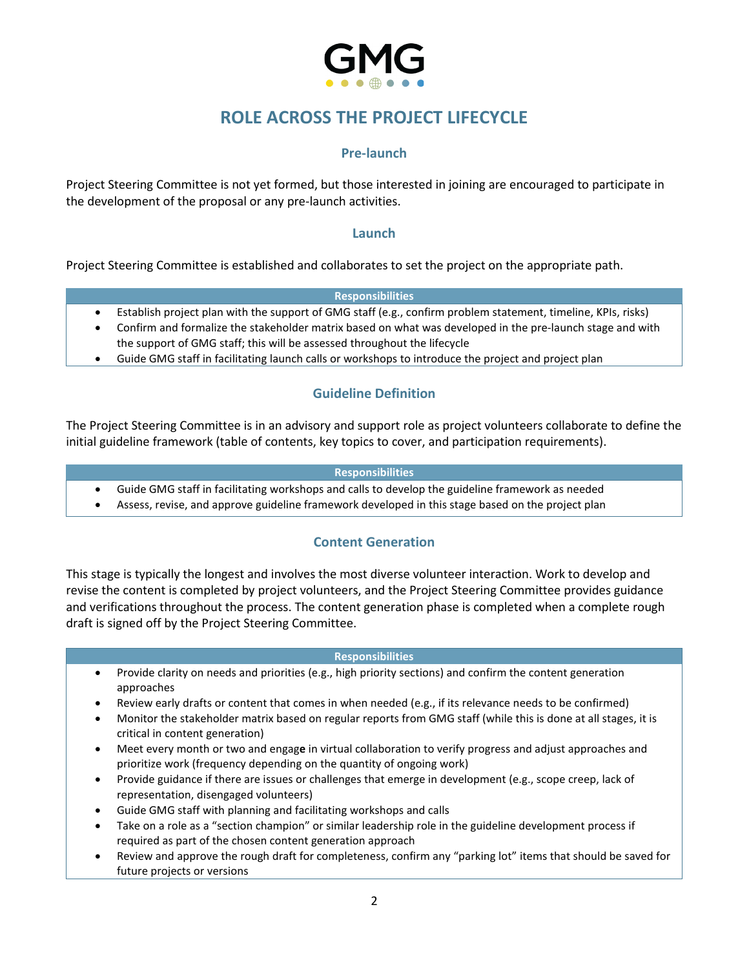

# **ROLE ACROSS THE PROJECT LIFECYCLE**

# **Pre-launch**

Project Steering Committee is not yet formed, but those interested in joining are encouraged to participate in the development of the proposal or any pre-launch activities.

### **Launch**

Project Steering Committee is established and collaborates to set the project on the appropriate path.

#### **Responsibilities**

- Establish project plan with the support of GMG staff (e.g., confirm problem statement, timeline, KPIs, risks)
- Confirm and formalize the stakeholder matrix based on what was developed in the pre-launch stage and with the support of GMG staff; this will be assessed throughout the lifecycle
- Guide GMG staff in facilitating launch calls or workshops to introduce the project and project plan

# **Guideline Definition**

The Project Steering Committee is in an advisory and support role as project volunteers collaborate to define the initial guideline framework (table of contents, key topics to cover, and participation requirements).

#### **Responsibilities**

- Guide GMG staff in facilitating workshops and calls to develop the guideline framework as needed
- Assess, revise, and approve guideline framework developed in this stage based on the project plan

## **Content Generation**

This stage is typically the longest and involves the most diverse volunteer interaction. Work to develop and revise the content is completed by project volunteers, and the Project Steering Committee provides guidance and verifications throughout the process. The content generation phase is completed when a complete rough draft is signed off by the Project Steering Committee.

#### **Responsibilities**

- Provide clarity on needs and priorities (e.g., high priority sections) and confirm the content generation approaches
- Review early drafts or content that comes in when needed (e.g., if its relevance needs to be confirmed)
- Monitor the stakeholder matrix based on regular reports from GMG staff (while this is done at all stages, it is critical in content generation)
- Meet every month or two and engag**e** in virtual collaboration to verify progress and adjust approaches and prioritize work (frequency depending on the quantity of ongoing work)
- Provide guidance if there are issues or challenges that emerge in development (e.g., scope creep, lack of representation, disengaged volunteers)
- Guide GMG staff with planning and facilitating workshops and calls
- Take on a role as a "section champion" or similar leadership role in the guideline development process if required as part of the chosen content generation approach
- Review and approve the rough draft for completeness, confirm any "parking lot" items that should be saved for future projects or versions